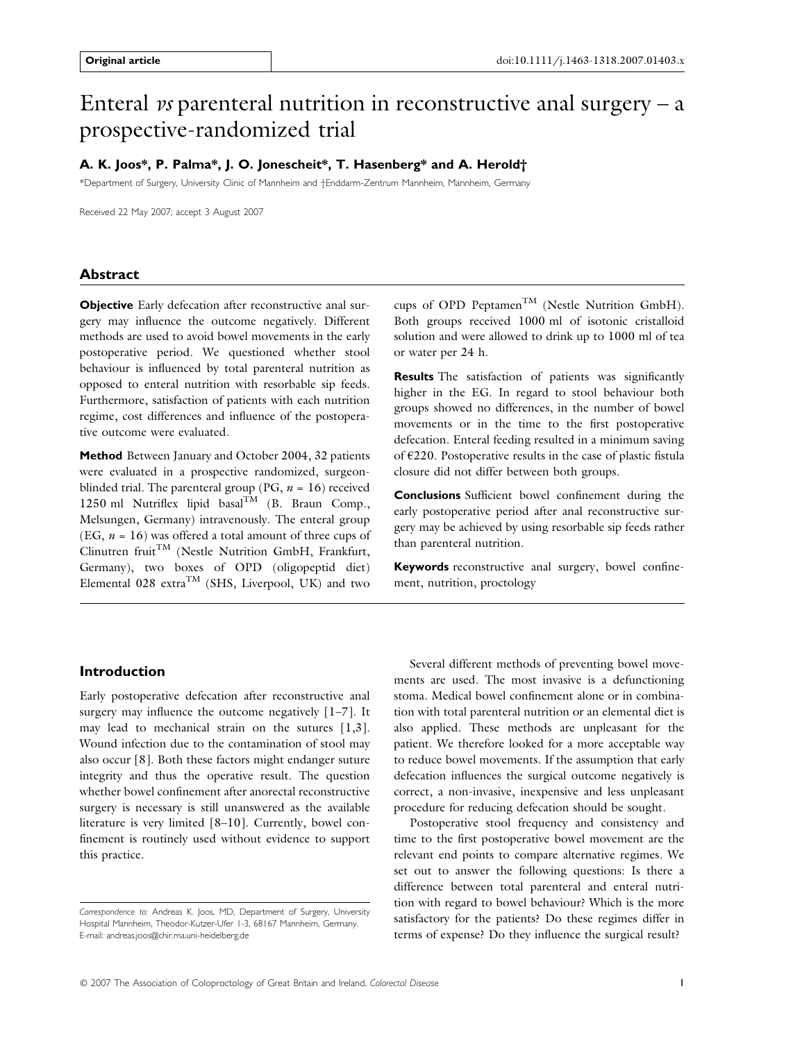# Enteral *vs* parenteral nutrition in reconstructive anal surgery  $-$  a prospective-randomized trial

## A. K. Joos\*, P. Palma\*, J. O. Jonescheit\*, T. Hasenberg\* and A. Herold†

\*Department of Surgery, University Clinic of Mannheim and †Enddarm-Zentrum Mannheim, Mannheim, Germany

Received 22 May 2007; accept 3 August 2007

## Abstract

Objective Early defecation after reconstructive anal surgery may influence the outcome negatively. Different methods are used to avoid bowel movements in the early postoperative period. We questioned whether stool behaviour is influenced by total parenteral nutrition as opposed to enteral nutrition with resorbable sip feeds. Furthermore, satisfaction of patients with each nutrition regime, cost differences and influence of the postoperative outcome were evaluated.

Method Between January and October 2004, 32 patients were evaluated in a prospective randomized, surgeonblinded trial. The parenteral group (PG,  $n = 16$ ) received 1250 ml Nutriflex lipid basal<sup>TM</sup> (B. Braun Comp., Melsungen, Germany) intravenously. The enteral group (EG,  $n = 16$ ) was offered a total amount of three cups of Clinutren fruit<sup>TM</sup> (Nestle Nutrition GmbH, Frankfurt, Germany), two boxes of OPD (oligopeptid diet) Elemental 028 extra<sup>TM</sup> (SHS, Liverpool, UK) and two

cups of OPD Peptamen<sup>TM</sup> (Nestle Nutrition GmbH). Both groups received 1000 ml of isotonic cristalloid solution and were allowed to drink up to 1000 ml of tea or water per 24 h.

Results The satisfaction of patients was significantly higher in the EG. In regard to stool behaviour both groups showed no differences, in the number of bowel movements or in the time to the first postoperative defecation. Enteral feeding resulted in a minimum saving of €220. Postoperative results in the case of plastic fistula closure did not differ between both groups.

Conclusions Sufficient bowel confinement during the early postoperative period after anal reconstructive surgery may be achieved by using resorbable sip feeds rather than parenteral nutrition.

Keywords reconstructive anal surgery, bowel confinement, nutrition, proctology

## Introduction

Early postoperative defecation after reconstructive anal surgery may influence the outcome negatively [1–7]. It may lead to mechanical strain on the sutures [1,3]. Wound infection due to the contamination of stool may also occur [8]. Both these factors might endanger suture integrity and thus the operative result. The question whether bowel confinement after anorectal reconstructive surgery is necessary is still unanswered as the available literature is very limited [8–10]. Currently, bowel confinement is routinely used without evidence to support this practice.

Several different methods of preventing bowel movements are used. The most invasive is a defunctioning stoma. Medical bowel confinement alone or in combination with total parenteral nutrition or an elemental diet is also applied. These methods are unpleasant for the patient. We therefore looked for a more acceptable way to reduce bowel movements. If the assumption that early defecation influences the surgical outcome negatively is correct, a non-invasive, inexpensive and less unpleasant procedure for reducing defecation should be sought.

Postoperative stool frequency and consistency and time to the first postoperative bowel movement are the relevant end points to compare alternative regimes. We set out to answer the following questions: Is there a difference between total parenteral and enteral nutrition with regard to bowel behaviour? Which is the more satisfactory for the patients? Do these regimes differ in terms of expense? Do they influence the surgical result?

Correspondence to: Andreas K. Joos, MD, Department of Surgery, University Hospital Mannheim, Theodor-Kutzer-Ufer 1-3, 68167 Mannheim, Germany. E-mail: andreas.joos@chir.ma.uni-heidelberg.de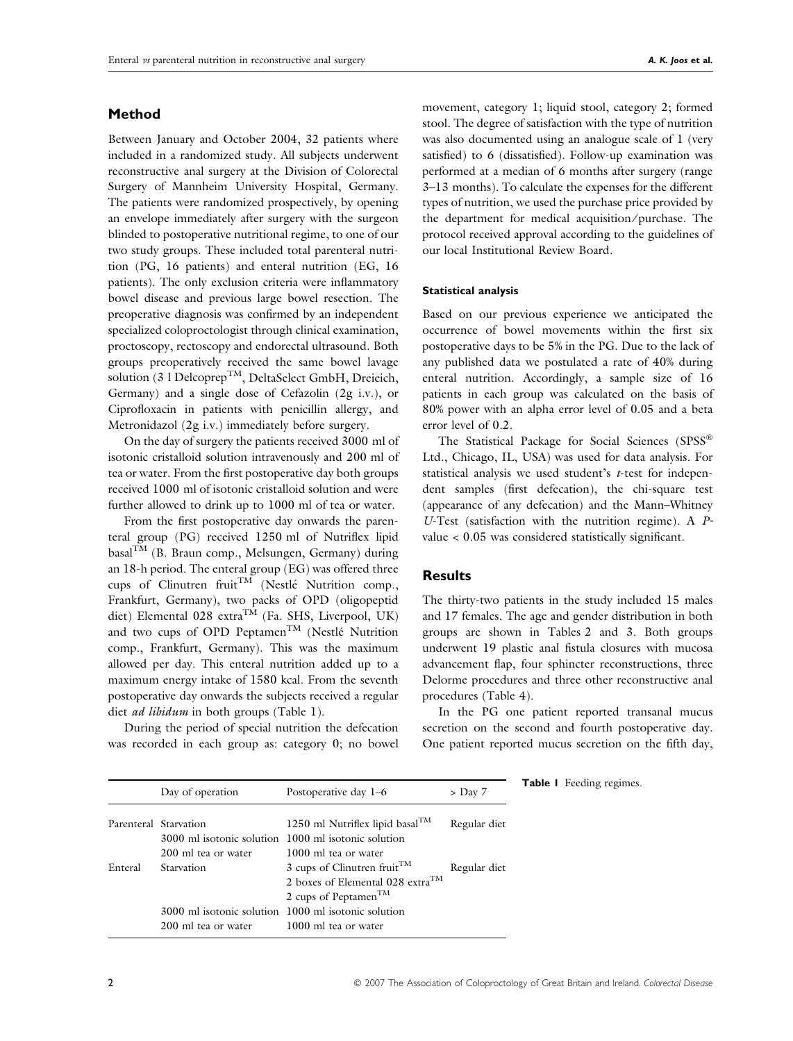# Method

Between January and October 2004, 32 patients where included in a randomized study. All subjects underwent reconstructive anal surgery at the Division of Colorectal Surgery of Mannheim University Hospital, Germany. The patients were randomized prospectively, by opening an envelope immediately after surgery with the surgeon blinded to postoperative nutritional regime, to one of our two study groups. These included total parenteral nutrition (PG, 16 patients) and enteral nutrition (EG, 16 patients). The only exclusion criteria were inflammatory bowel disease and previous large bowel resection. The preoperative diagnosis was confirmed by an independent specialized coloproctologist through clinical examination, proctoscopy, rectoscopy and endorectal ultrasound. Both groups preoperatively received the same bowel lavage solution (3 l Delcoprep<sup>TM</sup>, DeltaSelect GmbH, Dreieich, Germany) and a single dose of Cefazolin (2g i.v.), or Ciprofloxacin in patients with penicillin allergy, and Metronidazol (2g i.v.) immediately before surgery.

On the day of surgery the patients received 3000 ml of isotonic cristalloid solution intravenously and 200 ml of tea or water. From the first postoperative day both groups received 1000 ml of isotonic cristalloid solution and were further allowed to drink up to 1000 ml of tea or water.

From the first postoperative day onwards the parenteral group (PG) received 1250 ml of Nutriflex lipid basalTM (B. Braun comp., Melsungen, Germany) during an 18-h period. The enteral group (EG) was offered three cups of Clinutren fruit<sup>TM</sup> (Nestlé Nutrition comp., Frankfurt, Germany), two packs of OPD (oligopeptid diet) Elemental 028 extra<sup>TM</sup> (Fa. SHS, Liverpool, UK) and two cups of OPD Peptamen<sup>TM</sup> (Nestlé Nutrition comp., Frankfurt, Germany). This was the maximum allowed per day. This enteral nutrition added up to a maximum energy intake of 1580 kcal. From the seventh postoperative day onwards the subjects received a regular diet ad libidum in both groups (Table 1).

During the period of special nutrition the defecation was recorded in each group as: category 0; no bowel movement, category 1; liquid stool, category 2; formed stool. The degree of satisfaction with the type of nutrition was also documented using an analogue scale of 1 (very satisfied) to 6 (dissatisfied). Follow-up examination was performed at a median of 6 months after surgery (range 3–13 months). To calculate the expenses for the different types of nutrition, we used the purchase price provided by the department for medical acquisition ⁄ purchase. The protocol received approval according to the guidelines of our local Institutional Review Board.

#### Statistical analysis

Based on our previous experience we anticipated the occurrence of bowel movements within the first six postoperative days to be 5% in the PG. Due to the lack of any published data we postulated a rate of 40% during enteral nutrition. Accordingly, a sample size of 16 patients in each group was calculated on the basis of 80% power with an alpha error level of 0.05 and a beta error level of 0.2.

The Statistical Package for Social Sciences (SPSS® Ltd., Chicago, IL, USA) was used for data analysis. For statistical analysis we used student's  $t$ -test for independent samples (first defecation), the chi-square test (appearance of any defecation) and the Mann–Whitney U-Test (satisfaction with the nutrition regime). A Pvalue < 0.05 was considered statistically significant.

### **Results**

The thirty-two patients in the study included 15 males and 17 females. The age and gender distribution in both groups are shown in Tables 2 and 3. Both groups underwent 19 plastic anal fistula closures with mucosa advancement flap, four sphincter reconstructions, three Delorme procedures and three other reconstructive anal procedures (Table 4).

In the PG one patient reported transanal mucus secretion on the second and fourth postoperative day. One patient reported mucus secretion on the fifth day,

|         | Day of operation      | Postoperative day 1–6                               | $>$ Day 7    | <b>Table I</b> Feeding regimes. |
|---------|-----------------------|-----------------------------------------------------|--------------|---------------------------------|
|         | Parenteral Starvation | 1250 ml Nutriflex lipid basal $^{TM}$               | Regular diet |                                 |
|         |                       | 3000 ml isotonic solution 1000 ml isotonic solution |              |                                 |
|         | 200 ml tea or water   | 1000 ml tea or water                                |              |                                 |
| Enteral | Starvation            | 3 cups of Clinutren fruit <sup>TM</sup>             | Regular diet |                                 |
|         |                       | 2 boxes of Elemental 028 extra <sup>TM</sup>        |              |                                 |
|         |                       | 2 cups of Peptamen <sup>TM</sup>                    |              |                                 |
|         |                       | 3000 ml isotonic solution 1000 ml isotonic solution |              |                                 |
|         | 200 ml tea or water   | 1000 ml tea or water                                |              |                                 |
|         |                       |                                                     |              |                                 |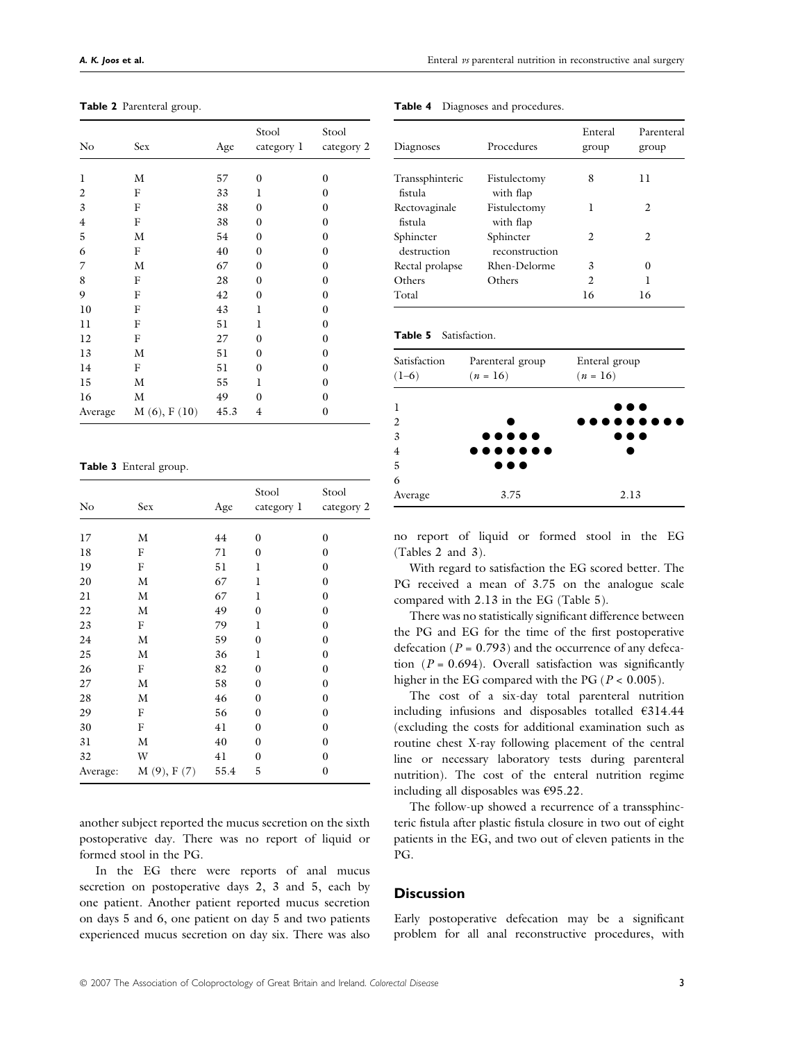| <b>Table 2</b> Parenteral group. |  |
|----------------------------------|--|
|----------------------------------|--|

| No             | Sex               | Age  | Stool<br>category 1 | Stool<br>category 2 |
|----------------|-------------------|------|---------------------|---------------------|
|                |                   |      |                     |                     |
| 1              | М                 | 57   | $\mathbf{0}$        | $\mathbf{0}$        |
| $\overline{2}$ | F                 | 33   | 1                   | $\mathbf{0}$        |
| 3              | F                 | 38   | 0                   | $\boldsymbol{0}$    |
| $\overline{4}$ | F                 | 38   | $\mathbf{0}$        | $\mathbf{0}$        |
| 5              | М                 | 54   | $\boldsymbol{0}$    | $\mathbf{0}$        |
| 6              | F                 | 40   | $\boldsymbol{0}$    | $\mathbf{0}$        |
| 7              | M                 | 67   | $\mathbf{0}$        | $\mathbf{0}$        |
| 8              | F                 | 28   | $\mathbf{0}$        | $\mathbf{0}$        |
| 9              | F                 | 42   | $\mathbf{0}$        | $\mathbf{0}$        |
| 10             | F                 | 43   | 1                   | $\mathbf{0}$        |
| 11             | F                 | 51   | 1                   | $\mathbf{0}$        |
| 12             | F                 | 27   | $\mathbf{0}$        | $\mathbf{0}$        |
| 13             | М                 | 51   | $\mathbf{0}$        | $\mathbf{0}$        |
| 14             | F                 | 51   | $\mathbf{0}$        | $\mathbf{0}$        |
| 15             | M                 | 55   | 1                   | $\mathbf{0}$        |
| 16             | М                 | 49   | 0                   | $\boldsymbol{0}$    |
| Average        | $M(6)$ , F $(10)$ | 45.3 | $\overline{4}$      | $\mathbf{0}$        |

Table 3 Enteral group.

| No       | Sex        | Age  | Stool<br>category 1 | Stool<br>category 2 |
|----------|------------|------|---------------------|---------------------|
|          |            |      |                     |                     |
| 17       | М          | 44   | $\mathbf{0}$        | $\boldsymbol{0}$    |
| 18       | F          | 71   | $\boldsymbol{0}$    | $\boldsymbol{0}$    |
| 19       | F          | 51   | 1                   | $\mathbf{0}$        |
| 20       | М          | 67   | 1                   | $\boldsymbol{0}$    |
| 21       | М          | 67   | 1                   | $\boldsymbol{0}$    |
| 22       | М          | 49   | $\mathbf{0}$        | $\boldsymbol{0}$    |
| 23       | F          | 79   | 1                   | $\boldsymbol{0}$    |
| 24       | М          | 59   | $\mathbf{0}$        | $\mathbf{0}$        |
| 25       | М          | 36   | 1                   | $\boldsymbol{0}$    |
| 26       | F          | 82   | $\mathbf{0}$        | $\boldsymbol{0}$    |
| 27       | М          | 58   | $\boldsymbol{0}$    | $\boldsymbol{0}$    |
| 28       | М          | 46   | $\boldsymbol{0}$    | $\boldsymbol{0}$    |
| 29       | F          | 56   | $\mathbf{0}$        | $\mathbf{0}$        |
| 30       | F          | 41   | $\mathbf{0}$        | $\mathbf{0}$        |
| 31       | М          | 40   | $\mathbf{0}$        | $\boldsymbol{0}$    |
| 32       | W          | 41   | $\mathbf{0}$        | $\boldsymbol{0}$    |
| Average: | M(9), F(7) | 55.4 | 5                   | $\boldsymbol{0}$    |

another subject reported the mucus secretion on the sixth postoperative day. There was no report of liquid or formed stool in the PG.

In the EG there were reports of anal mucus secretion on postoperative days 2, 3 and 5, each by one patient. Another patient reported mucus secretion on days 5 and 6, one patient on day 5 and two patients experienced mucus secretion on day six. There was also

| Diagnoses                  | Procedures                  | Enteral<br>group | Parenteral<br>group |
|----------------------------|-----------------------------|------------------|---------------------|
| Transsphinteric<br>fistula | Fistulectomy<br>with flap   | 8                | 11                  |
| Rectovaginale<br>fistula   | Fistulectomy<br>with flap   | ı                | 2                   |
| Sphincter<br>destruction   | Sphincter<br>reconstruction | $\mathfrak{D}$   | $\mathfrak{D}$      |
| Rectal prolapse            | Rhen-Delorme                | 3                | 0                   |
| Others                     | Others                      | $\mathfrak{D}$   |                     |
| Total                      |                             | 16               | 16                  |

Table 4 Diagnoses and procedures.

Table 5 Satisfaction.

| Satisfaction<br>$(1-6)$ | Parenteral group<br>$(n = 16)$                      | Enteral group<br>$(n = 16)$ |
|-------------------------|-----------------------------------------------------|-----------------------------|
| 1                       |                                                     | $\bullet\bullet\bullet$     |
| 2                       |                                                     | .                           |
| $\overline{3}$          | $\bullet\bullet\bullet\bullet\bullet$               | $\bullet\bullet\bullet$     |
| $\overline{4}$          | $\bullet\bullet\bullet\bullet\bullet\bullet\bullet$ |                             |
| 5                       | $\bullet\bullet\bullet$                             |                             |
| 6                       |                                                     |                             |
| Average                 | 3.75                                                | 2.13                        |

no report of liquid or formed stool in the EG (Tables 2 and 3).

With regard to satisfaction the EG scored better. The PG received a mean of 3.75 on the analogue scale compared with 2.13 in the EG (Table 5).

There was no statistically significant difference between the PG and EG for the time of the first postoperative defecation ( $P = 0.793$ ) and the occurrence of any defecation  $(P = 0.694)$ . Overall satisfaction was significantly higher in the EG compared with the PG ( $P < 0.005$ ).

The cost of a six-day total parenteral nutrition including infusions and disposables totalled €314.44 (excluding the costs for additional examination such as routine chest X-ray following placement of the central line or necessary laboratory tests during parenteral nutrition). The cost of the enteral nutrition regime including all disposables was €95.22.

The follow-up showed a recurrence of a transsphincteric fistula after plastic fistula closure in two out of eight patients in the EG, and two out of eleven patients in the PG.

## **Discussion**

Early postoperative defecation may be a significant problem for all anal reconstructive procedures, with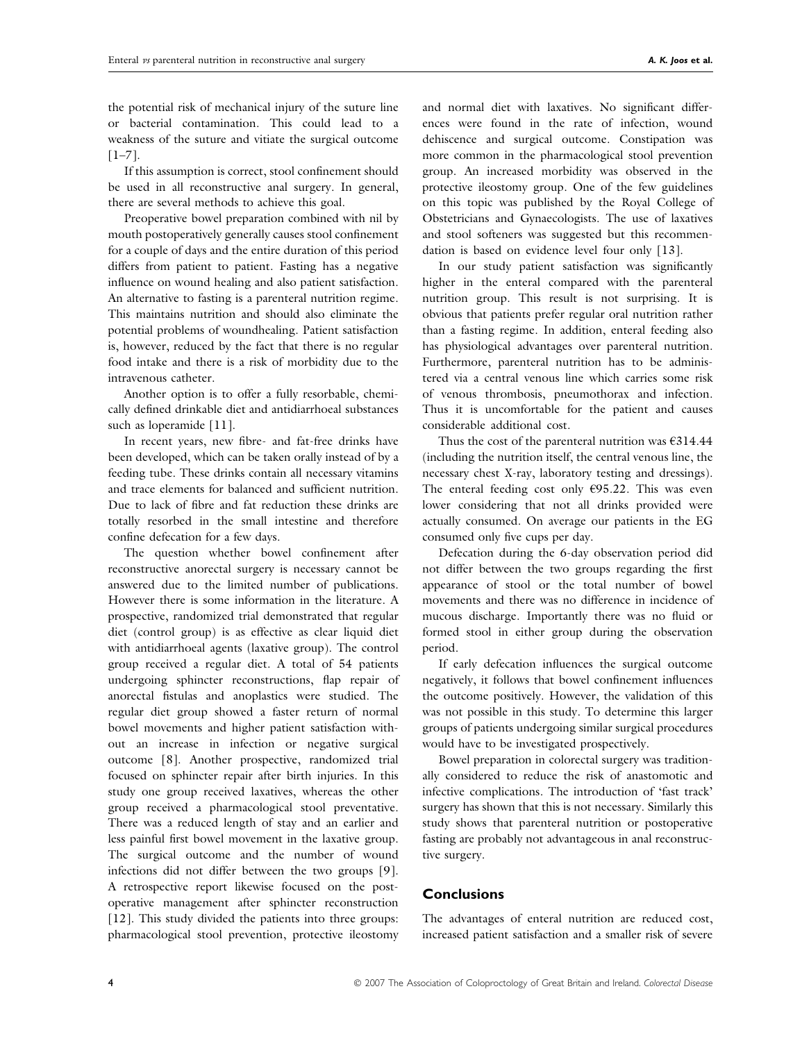the potential risk of mechanical injury of the suture line or bacterial contamination. This could lead to a weakness of the suture and vitiate the surgical outcome  $[1-7]$ .

If this assumption is correct, stool confinement should be used in all reconstructive anal surgery. In general, there are several methods to achieve this goal.

Preoperative bowel preparation combined with nil by mouth postoperatively generally causes stool confinement for a couple of days and the entire duration of this period differs from patient to patient. Fasting has a negative influence on wound healing and also patient satisfaction. An alternative to fasting is a parenteral nutrition regime. This maintains nutrition and should also eliminate the potential problems of woundhealing. Patient satisfaction is, however, reduced by the fact that there is no regular food intake and there is a risk of morbidity due to the intravenous catheter.

Another option is to offer a fully resorbable, chemically defined drinkable diet and antidiarrhoeal substances such as loperamide [11].

In recent years, new fibre- and fat-free drinks have been developed, which can be taken orally instead of by a feeding tube. These drinks contain all necessary vitamins and trace elements for balanced and sufficient nutrition. Due to lack of fibre and fat reduction these drinks are totally resorbed in the small intestine and therefore confine defecation for a few days.

The question whether bowel confinement after reconstructive anorectal surgery is necessary cannot be answered due to the limited number of publications. However there is some information in the literature. A prospective, randomized trial demonstrated that regular diet (control group) is as effective as clear liquid diet with antidiarrhoeal agents (laxative group). The control group received a regular diet. A total of 54 patients undergoing sphincter reconstructions, flap repair of anorectal fistulas and anoplastics were studied. The regular diet group showed a faster return of normal bowel movements and higher patient satisfaction without an increase in infection or negative surgical outcome [8]. Another prospective, randomized trial focused on sphincter repair after birth injuries. In this study one group received laxatives, whereas the other group received a pharmacological stool preventative. There was a reduced length of stay and an earlier and less painful first bowel movement in the laxative group. The surgical outcome and the number of wound infections did not differ between the two groups [9]. A retrospective report likewise focused on the postoperative management after sphincter reconstruction [12]. This study divided the patients into three groups: pharmacological stool prevention, protective ileostomy

and normal diet with laxatives. No significant differences were found in the rate of infection, wound dehiscence and surgical outcome. Constipation was more common in the pharmacological stool prevention group. An increased morbidity was observed in the protective ileostomy group. One of the few guidelines on this topic was published by the Royal College of Obstetricians and Gynaecologists. The use of laxatives and stool softeners was suggested but this recommendation is based on evidence level four only [13].

In our study patient satisfaction was significantly higher in the enteral compared with the parenteral nutrition group. This result is not surprising. It is obvious that patients prefer regular oral nutrition rather than a fasting regime. In addition, enteral feeding also has physiological advantages over parenteral nutrition. Furthermore, parenteral nutrition has to be administered via a central venous line which carries some risk of venous thrombosis, pneumothorax and infection. Thus it is uncomfortable for the patient and causes considerable additional cost.

Thus the cost of the parenteral nutrition was  $6314.44$ (including the nutrition itself, the central venous line, the necessary chest X-ray, laboratory testing and dressings). The enteral feeding cost only €95.22. This was even lower considering that not all drinks provided were actually consumed. On average our patients in the EG consumed only five cups per day.

Defecation during the 6-day observation period did not differ between the two groups regarding the first appearance of stool or the total number of bowel movements and there was no difference in incidence of mucous discharge. Importantly there was no fluid or formed stool in either group during the observation period.

If early defecation influences the surgical outcome negatively, it follows that bowel confinement influences the outcome positively. However, the validation of this was not possible in this study. To determine this larger groups of patients undergoing similar surgical procedures would have to be investigated prospectively.

Bowel preparation in colorectal surgery was traditionally considered to reduce the risk of anastomotic and infective complications. The introduction of 'fast track' surgery has shown that this is not necessary. Similarly this study shows that parenteral nutrition or postoperative fasting are probably not advantageous in anal reconstructive surgery.

# **Conclusions**

The advantages of enteral nutrition are reduced cost, increased patient satisfaction and a smaller risk of severe